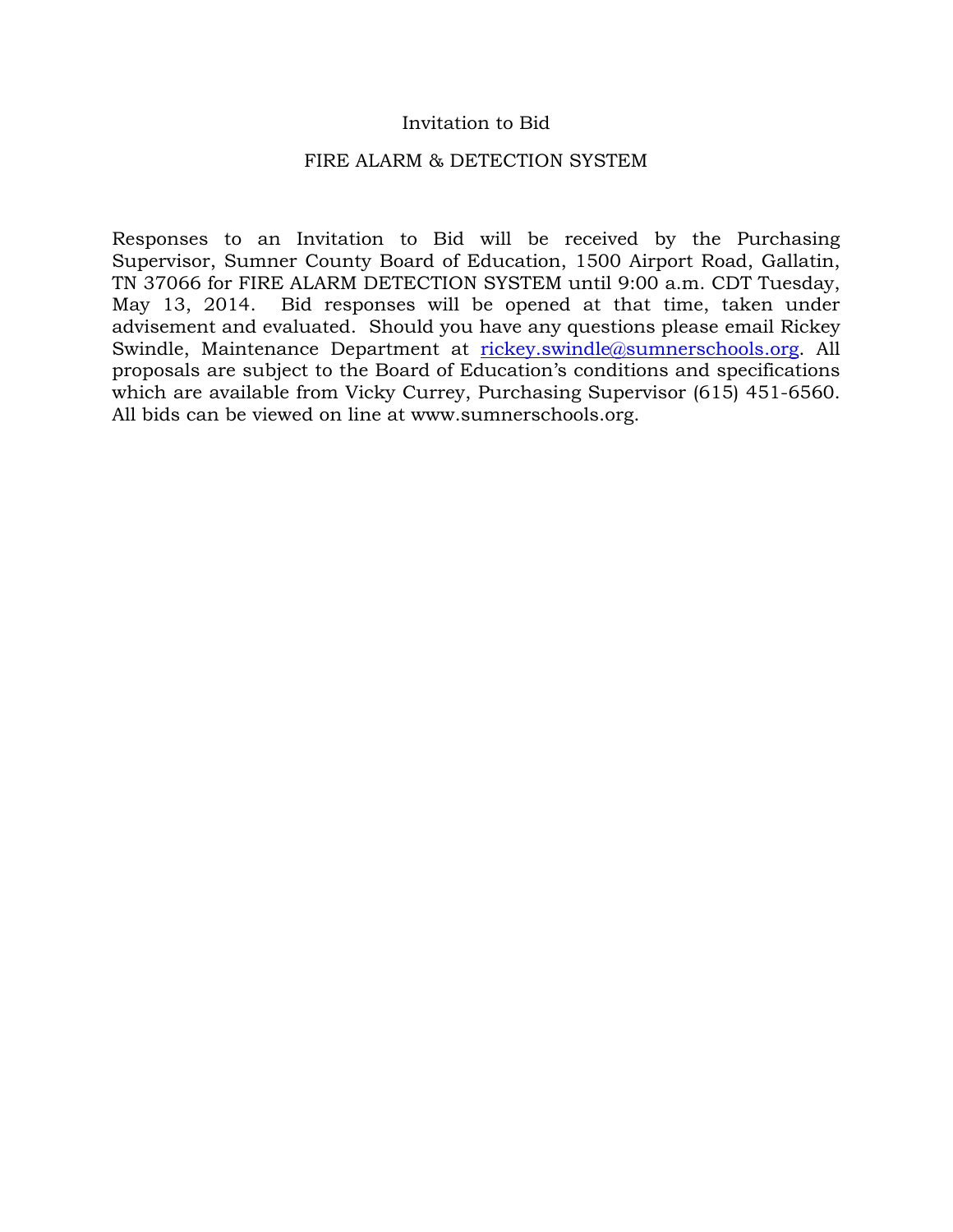## Invitation to Bid

#### FIRE ALARM & DETECTION SYSTEM

Responses to an Invitation to Bid will be received by the Purchasing Supervisor, Sumner County Board of Education, 1500 Airport Road, Gallatin, TN 37066 for FIRE ALARM DETECTION SYSTEM until 9:00 a.m. CDT Tuesday, May 13, 2014. Bid responses will be opened at that time, taken under advisement and evaluated. Should you have any questions please email Rickey Swindle, Maintenance Department at [rickey.swindle@sumnerschools.org.](mailto:rickey.swindle@sumnerschools.org) All proposals are subject to the Board of Education's conditions and specifications which are available from Vicky Currey, Purchasing Supervisor (615) 451-6560. All bids can be viewed on line at www.sumnerschools.org.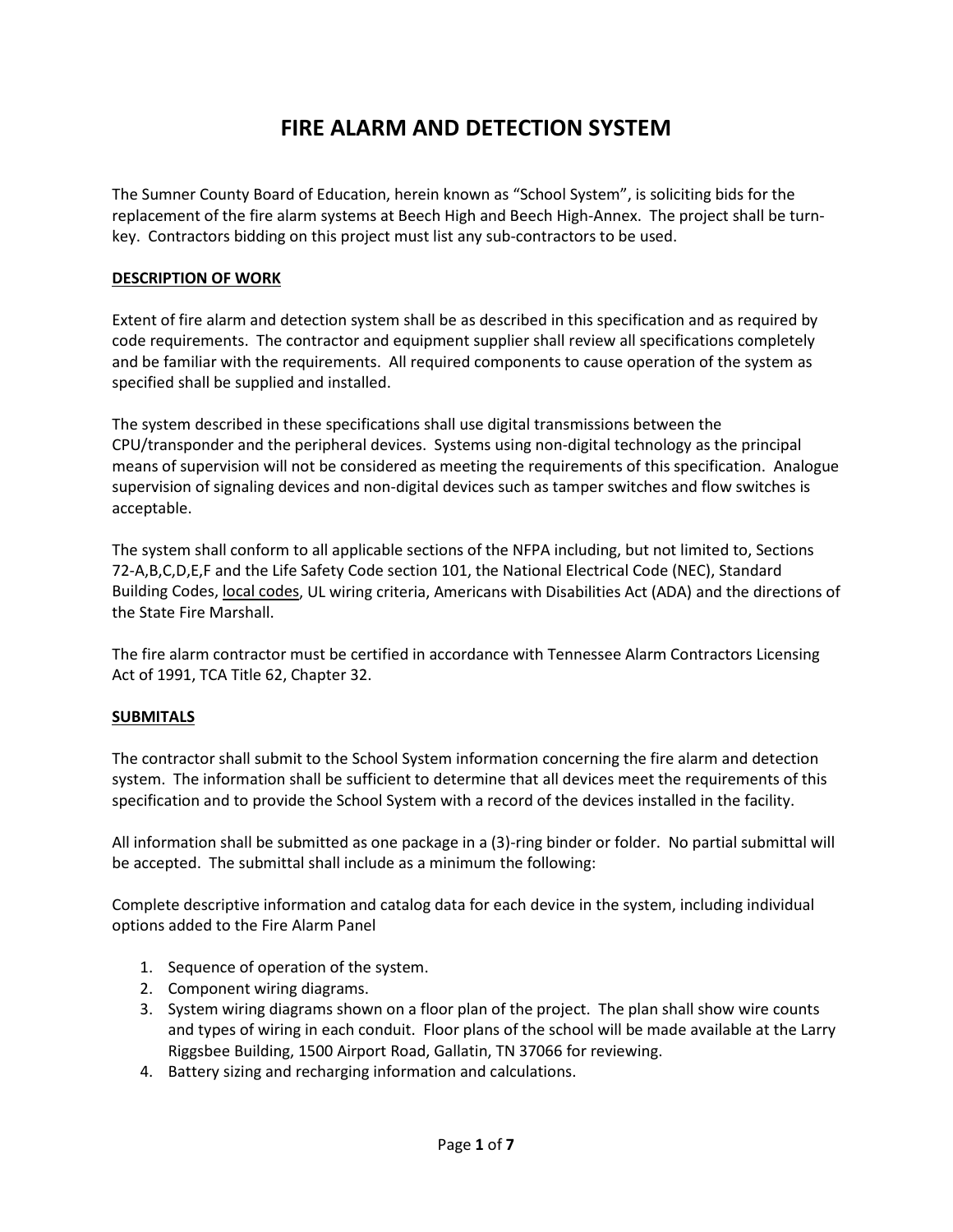# **FIRE ALARM AND DETECTION SYSTEM**

The Sumner County Board of Education, herein known as "School System", is soliciting bids for the replacement of the fire alarm systems at Beech High and Beech High-Annex. The project shall be turnkey. Contractors bidding on this project must list any sub-contractors to be used.

#### **DESCRIPTION OF WORK**

Extent of fire alarm and detection system shall be as described in this specification and as required by code requirements. The contractor and equipment supplier shall review all specifications completely and be familiar with the requirements. All required components to cause operation of the system as specified shall be supplied and installed.

The system described in these specifications shall use digital transmissions between the CPU/transponder and the peripheral devices. Systems using non-digital technology as the principal means of supervision will not be considered as meeting the requirements of this specification. Analogue supervision of signaling devices and non-digital devices such as tamper switches and flow switches is acceptable.

The system shall conform to all applicable sections of the NFPA including, but not limited to, Sections 72-A,B,C,D,E,F and the Life Safety Code section 101, the National Electrical Code (NEC), Standard Building Codes, local codes, UL wiring criteria, Americans with Disabilities Act (ADA) and the directions of the State Fire Marshall.

The fire alarm contractor must be certified in accordance with Tennessee Alarm Contractors Licensing Act of 1991, TCA Title 62, Chapter 32.

#### **SUBMITALS**

The contractor shall submit to the School System information concerning the fire alarm and detection system. The information shall be sufficient to determine that all devices meet the requirements of this specification and to provide the School System with a record of the devices installed in the facility.

All information shall be submitted as one package in a (3)-ring binder or folder. No partial submittal will be accepted. The submittal shall include as a minimum the following:

Complete descriptive information and catalog data for each device in the system, including individual options added to the Fire Alarm Panel

- 1. Sequence of operation of the system.
- 2. Component wiring diagrams.
- 3. System wiring diagrams shown on a floor plan of the project. The plan shall show wire counts and types of wiring in each conduit. Floor plans of the school will be made available at the Larry Riggsbee Building, 1500 Airport Road, Gallatin, TN 37066 for reviewing.
- 4. Battery sizing and recharging information and calculations.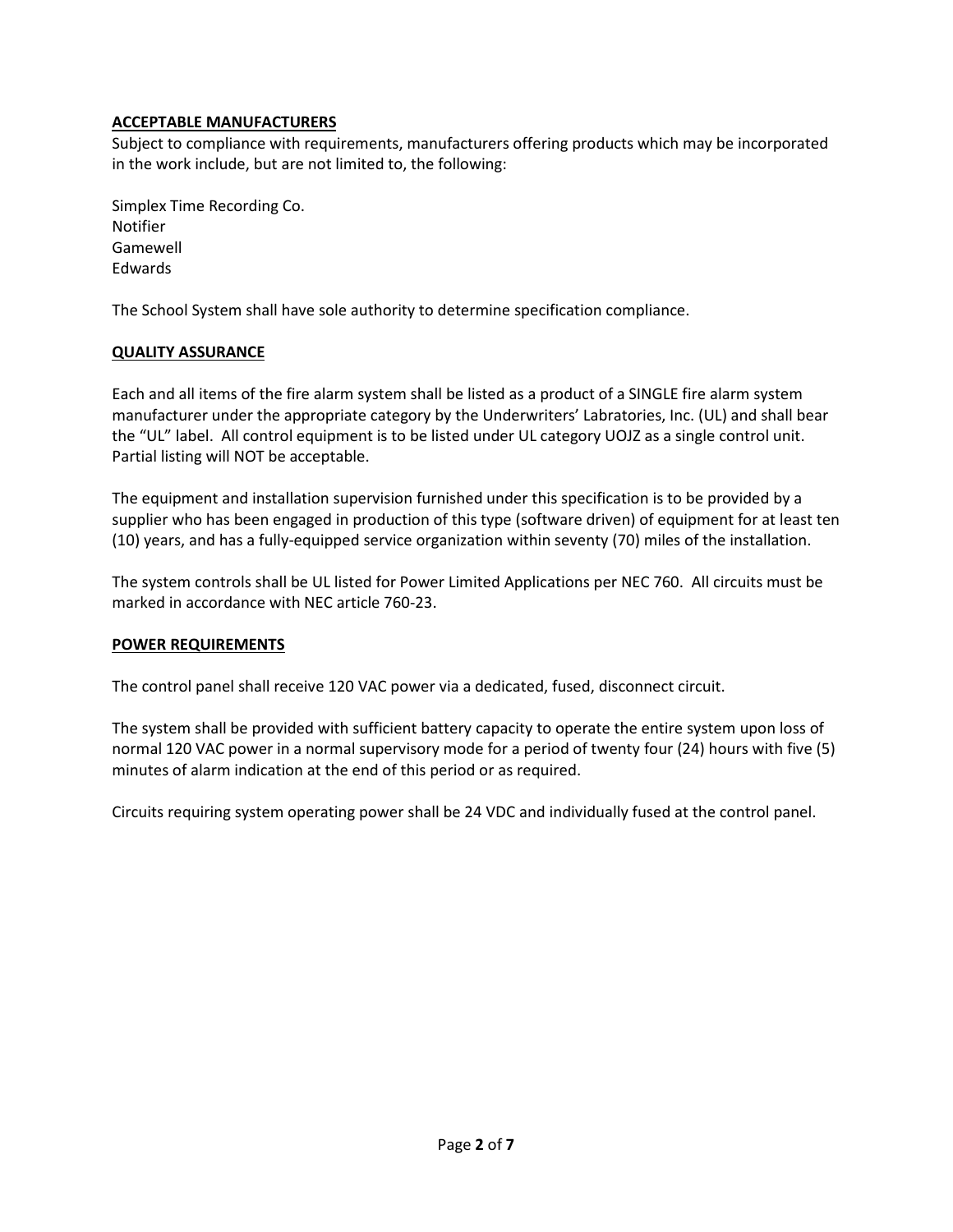### **ACCEPTABLE MANUFACTURERS**

Subject to compliance with requirements, manufacturers offering products which may be incorporated in the work include, but are not limited to, the following:

Simplex Time Recording Co. Notifier Gamewell Edwards

The School System shall have sole authority to determine specification compliance.

#### **QUALITY ASSURANCE**

Each and all items of the fire alarm system shall be listed as a product of a SINGLE fire alarm system manufacturer under the appropriate category by the Underwriters' Labratories, Inc. (UL) and shall bear the "UL" label. All control equipment is to be listed under UL category UOJZ as a single control unit. Partial listing will NOT be acceptable.

The equipment and installation supervision furnished under this specification is to be provided by a supplier who has been engaged in production of this type (software driven) of equipment for at least ten (10) years, and has a fully-equipped service organization within seventy (70) miles of the installation.

The system controls shall be UL listed for Power Limited Applications per NEC 760. All circuits must be marked in accordance with NEC article 760-23.

#### **POWER REQUIREMENTS**

The control panel shall receive 120 VAC power via a dedicated, fused, disconnect circuit.

The system shall be provided with sufficient battery capacity to operate the entire system upon loss of normal 120 VAC power in a normal supervisory mode for a period of twenty four (24) hours with five (5) minutes of alarm indication at the end of this period or as required.

Circuits requiring system operating power shall be 24 VDC and individually fused at the control panel.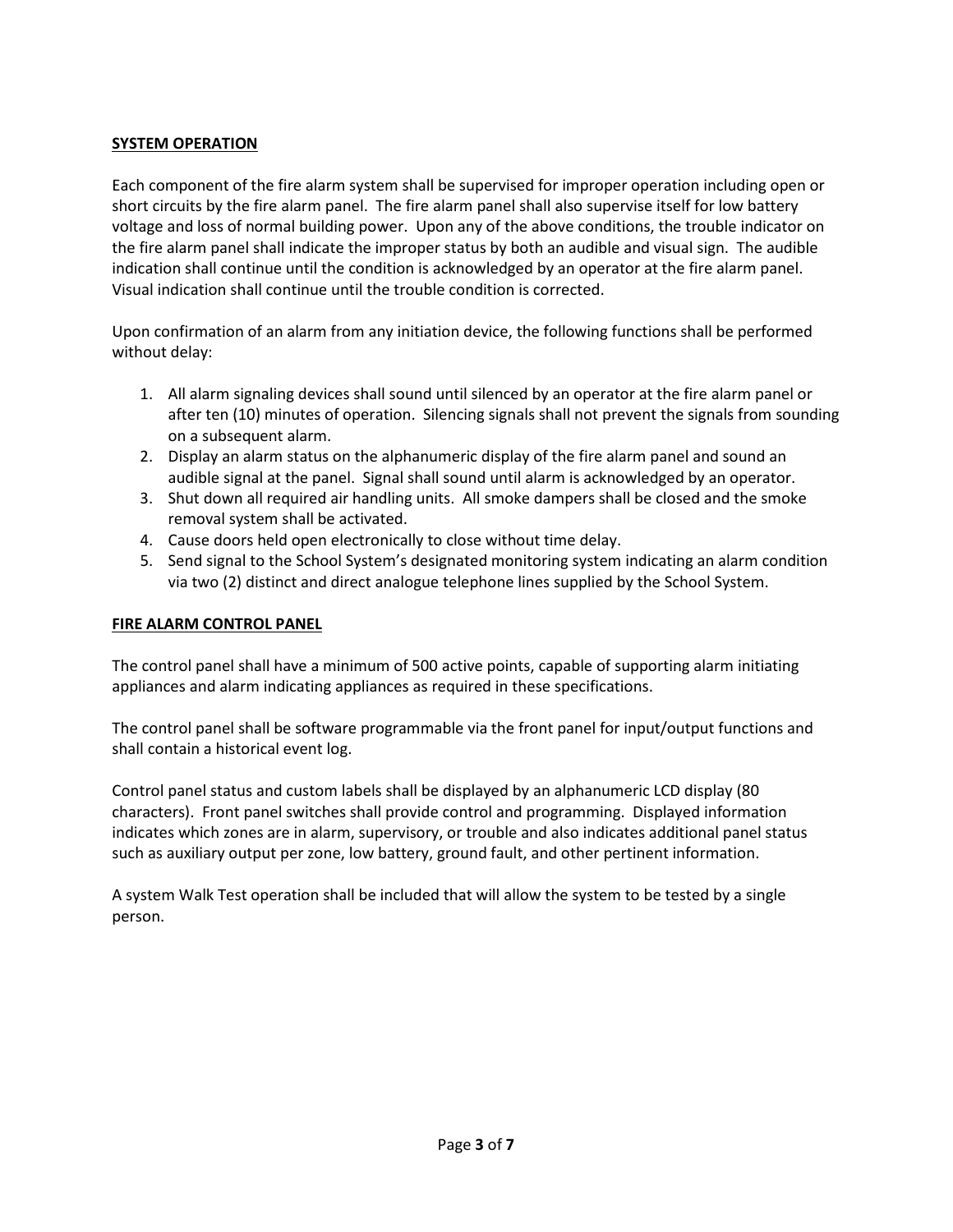### **SYSTEM OPERATION**

Each component of the fire alarm system shall be supervised for improper operation including open or short circuits by the fire alarm panel. The fire alarm panel shall also supervise itself for low battery voltage and loss of normal building power. Upon any of the above conditions, the trouble indicator on the fire alarm panel shall indicate the improper status by both an audible and visual sign. The audible indication shall continue until the condition is acknowledged by an operator at the fire alarm panel. Visual indication shall continue until the trouble condition is corrected.

Upon confirmation of an alarm from any initiation device, the following functions shall be performed without delay:

- 1. All alarm signaling devices shall sound until silenced by an operator at the fire alarm panel or after ten (10) minutes of operation. Silencing signals shall not prevent the signals from sounding on a subsequent alarm.
- 2. Display an alarm status on the alphanumeric display of the fire alarm panel and sound an audible signal at the panel. Signal shall sound until alarm is acknowledged by an operator.
- 3. Shut down all required air handling units. All smoke dampers shall be closed and the smoke removal system shall be activated.
- 4. Cause doors held open electronically to close without time delay.
- 5. Send signal to the School System's designated monitoring system indicating an alarm condition via two (2) distinct and direct analogue telephone lines supplied by the School System.

#### **FIRE ALARM CONTROL PANEL**

The control panel shall have a minimum of 500 active points, capable of supporting alarm initiating appliances and alarm indicating appliances as required in these specifications.

The control panel shall be software programmable via the front panel for input/output functions and shall contain a historical event log.

Control panel status and custom labels shall be displayed by an alphanumeric LCD display (80 characters). Front panel switches shall provide control and programming. Displayed information indicates which zones are in alarm, supervisory, or trouble and also indicates additional panel status such as auxiliary output per zone, low battery, ground fault, and other pertinent information.

A system Walk Test operation shall be included that will allow the system to be tested by a single person.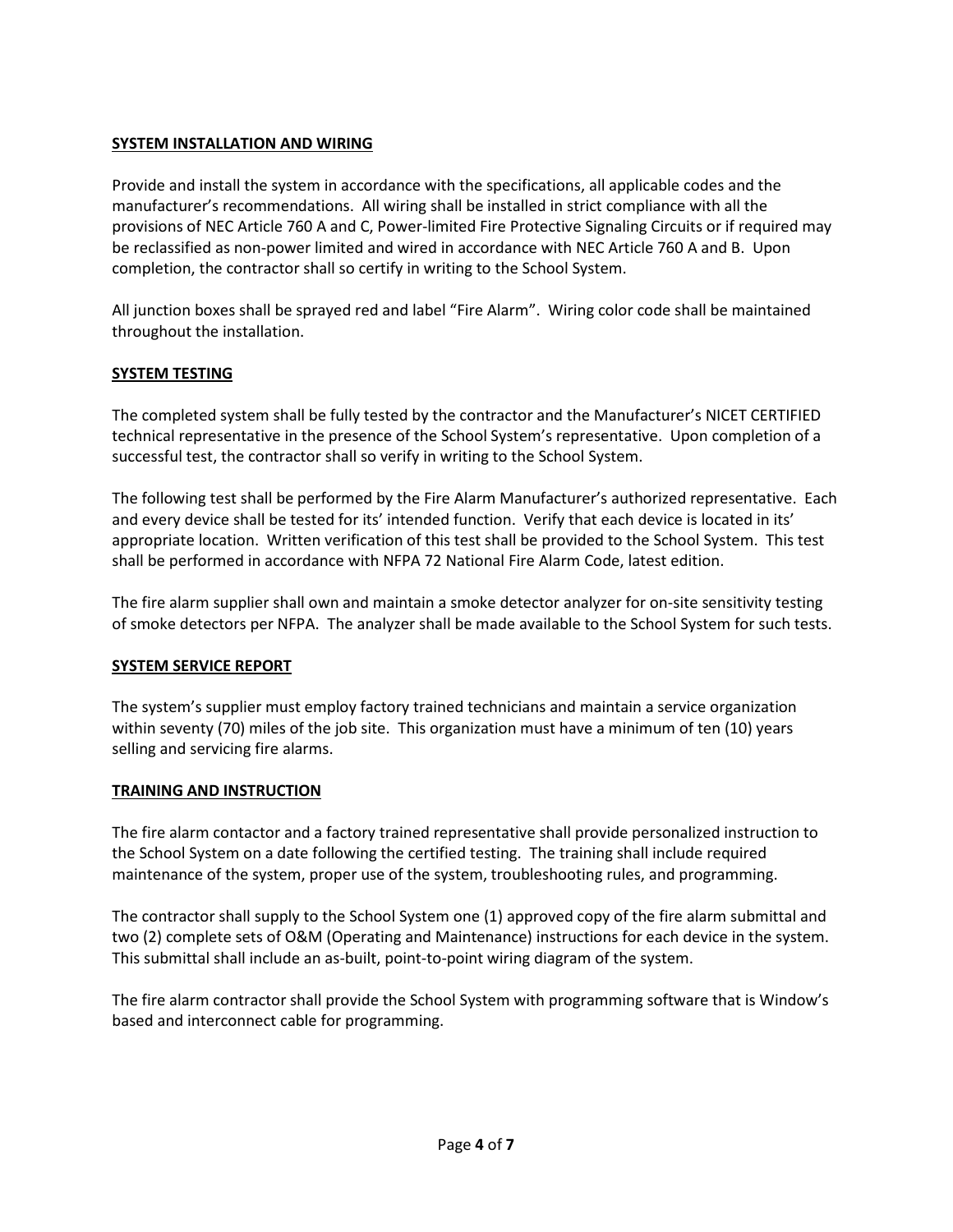### **SYSTEM INSTALLATION AND WIRING**

Provide and install the system in accordance with the specifications, all applicable codes and the manufacturer's recommendations. All wiring shall be installed in strict compliance with all the provisions of NEC Article 760 A and C, Power-limited Fire Protective Signaling Circuits or if required may be reclassified as non-power limited and wired in accordance with NEC Article 760 A and B. Upon completion, the contractor shall so certify in writing to the School System.

All junction boxes shall be sprayed red and label "Fire Alarm". Wiring color code shall be maintained throughout the installation.

#### **SYSTEM TESTING**

The completed system shall be fully tested by the contractor and the Manufacturer's NICET CERTIFIED technical representative in the presence of the School System's representative. Upon completion of a successful test, the contractor shall so verify in writing to the School System.

The following test shall be performed by the Fire Alarm Manufacturer's authorized representative. Each and every device shall be tested for its' intended function. Verify that each device is located in its' appropriate location. Written verification of this test shall be provided to the School System. This test shall be performed in accordance with NFPA 72 National Fire Alarm Code, latest edition.

The fire alarm supplier shall own and maintain a smoke detector analyzer for on-site sensitivity testing of smoke detectors per NFPA. The analyzer shall be made available to the School System for such tests.

#### **SYSTEM SERVICE REPORT**

The system's supplier must employ factory trained technicians and maintain a service organization within seventy (70) miles of the job site. This organization must have a minimum of ten (10) years selling and servicing fire alarms.

#### **TRAINING AND INSTRUCTION**

The fire alarm contactor and a factory trained representative shall provide personalized instruction to the School System on a date following the certified testing. The training shall include required maintenance of the system, proper use of the system, troubleshooting rules, and programming.

The contractor shall supply to the School System one (1) approved copy of the fire alarm submittal and two (2) complete sets of O&M (Operating and Maintenance) instructions for each device in the system. This submittal shall include an as-built, point-to-point wiring diagram of the system.

The fire alarm contractor shall provide the School System with programming software that is Window's based and interconnect cable for programming.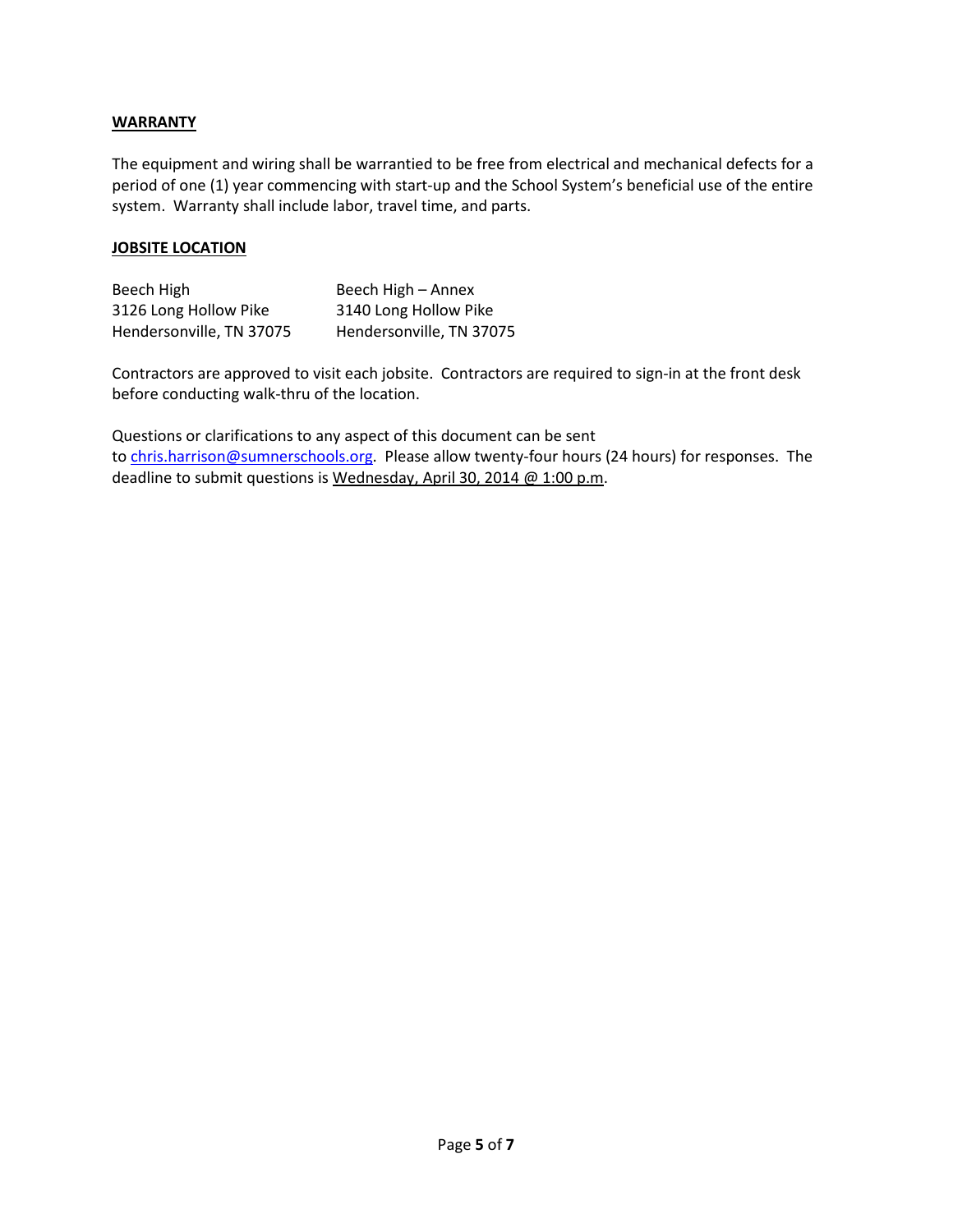#### **WARRANTY**

The equipment and wiring shall be warrantied to be free from electrical and mechanical defects for a period of one (1) year commencing with start-up and the School System's beneficial use of the entire system. Warranty shall include labor, travel time, and parts.

#### **JOBSITE LOCATION**

| Beech High               | Beech High - Annex       |
|--------------------------|--------------------------|
| 3126 Long Hollow Pike    | 3140 Long Hollow Pike    |
| Hendersonville, TN 37075 | Hendersonville, TN 37075 |

Contractors are approved to visit each jobsite. Contractors are required to sign-in at the front desk before conducting walk-thru of the location.

Questions or clarifications to any aspect of this document can be sent to [chris.harrison@sumnerschools.org.](mailto:chris.harrison@sumnerschools.org) Please allow twenty-four hours (24 hours) for responses. The deadline to submit questions is Wednesday, April 30, 2014 @ 1:00 p.m.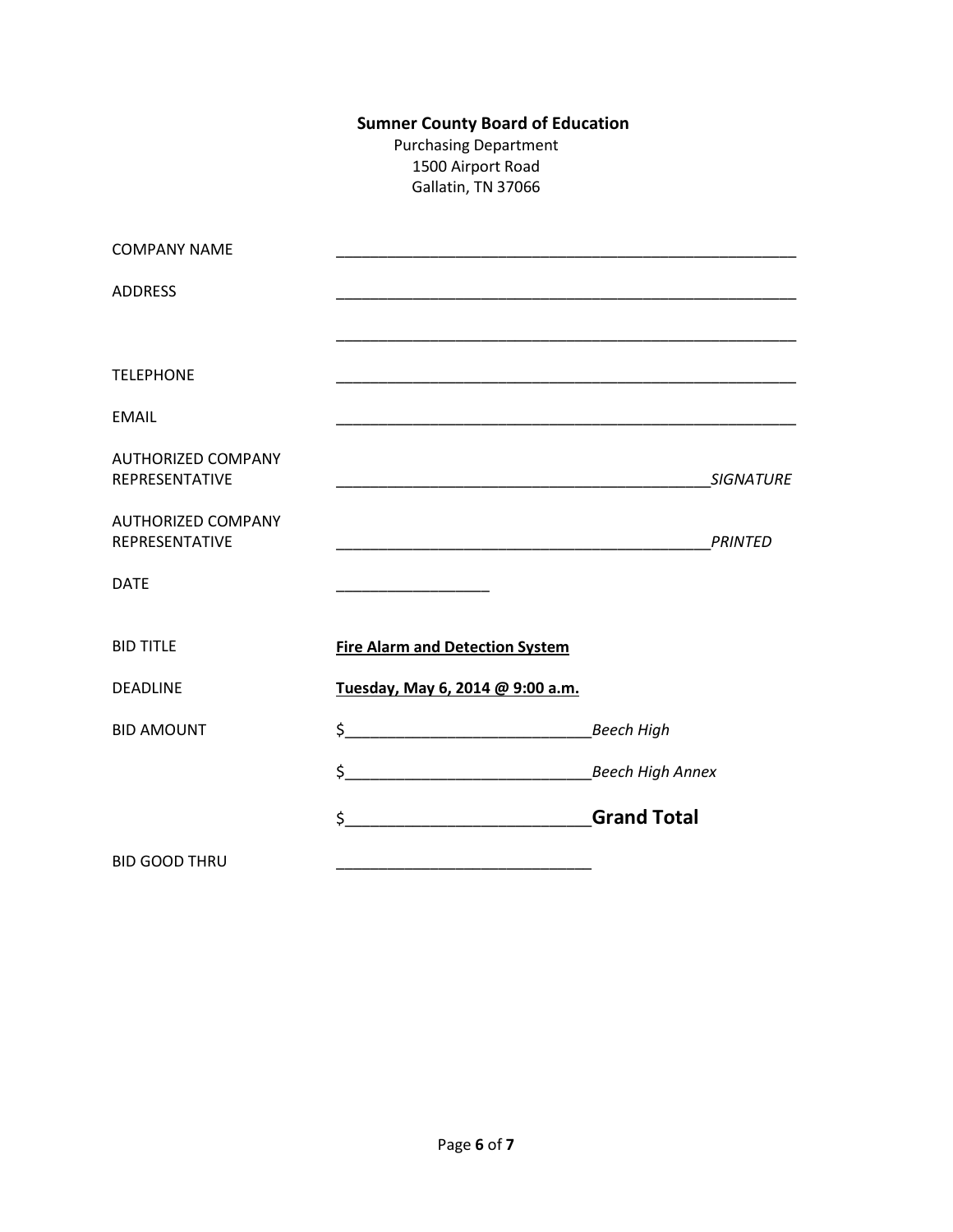# **Sumner County Board of Education**

Purchasing Department 1500 Airport Road Gallatin, TN 37066

| <b>COMPANY NAME</b>                         |                                                                                                                                                                                                                                                                                                                                                                     |                         |
|---------------------------------------------|---------------------------------------------------------------------------------------------------------------------------------------------------------------------------------------------------------------------------------------------------------------------------------------------------------------------------------------------------------------------|-------------------------|
| <b>ADDRESS</b>                              |                                                                                                                                                                                                                                                                                                                                                                     |                         |
|                                             |                                                                                                                                                                                                                                                                                                                                                                     |                         |
| <b>TELEPHONE</b>                            | <u> 1989 - Johann Stoff, deutscher Stoff, der Stoff, der Stoff, der Stoff, der Stoff, der Stoff, der Stoff, der S</u>                                                                                                                                                                                                                                               |                         |
| <b>EMAIL</b>                                |                                                                                                                                                                                                                                                                                                                                                                     |                         |
| <b>AUTHORIZED COMPANY</b><br>REPRESENTATIVE |                                                                                                                                                                                                                                                                                                                                                                     | <b>SIGNATURE</b>        |
| <b>AUTHORIZED COMPANY</b><br>REPRESENTATIVE |                                                                                                                                                                                                                                                                                                                                                                     | <b>PRINTED</b>          |
| <b>DATE</b>                                 |                                                                                                                                                                                                                                                                                                                                                                     |                         |
| <b>BID TITLE</b>                            | <b>Fire Alarm and Detection System</b>                                                                                                                                                                                                                                                                                                                              |                         |
| <b>DEADLINE</b>                             | Tuesday, May 6, 2014 @ 9:00 a.m.                                                                                                                                                                                                                                                                                                                                    |                         |
| <b>BID AMOUNT</b>                           | $\begin{picture}(20,10) \put(0,0){\vector(1,0){100}} \put(15,0){\vector(1,0){100}} \put(15,0){\vector(1,0){100}} \put(15,0){\vector(1,0){100}} \put(15,0){\vector(1,0){100}} \put(15,0){\vector(1,0){100}} \put(15,0){\vector(1,0){100}} \put(15,0){\vector(1,0){100}} \put(15,0){\vector(1,0){100}} \put(15,0){\vector(1,0){100}} \put(15,0){\vector(1,0){100}} \$ | <b>Beech High</b>       |
|                                             | $\frac{1}{2}$                                                                                                                                                                                                                                                                                                                                                       | <b>Beech High Annex</b> |
|                                             | <u> 1990 - Johann Barbara, martxa</u><br>\$                                                                                                                                                                                                                                                                                                                         | <b>Grand Total</b>      |
| <b>BID GOOD THRU</b>                        |                                                                                                                                                                                                                                                                                                                                                                     |                         |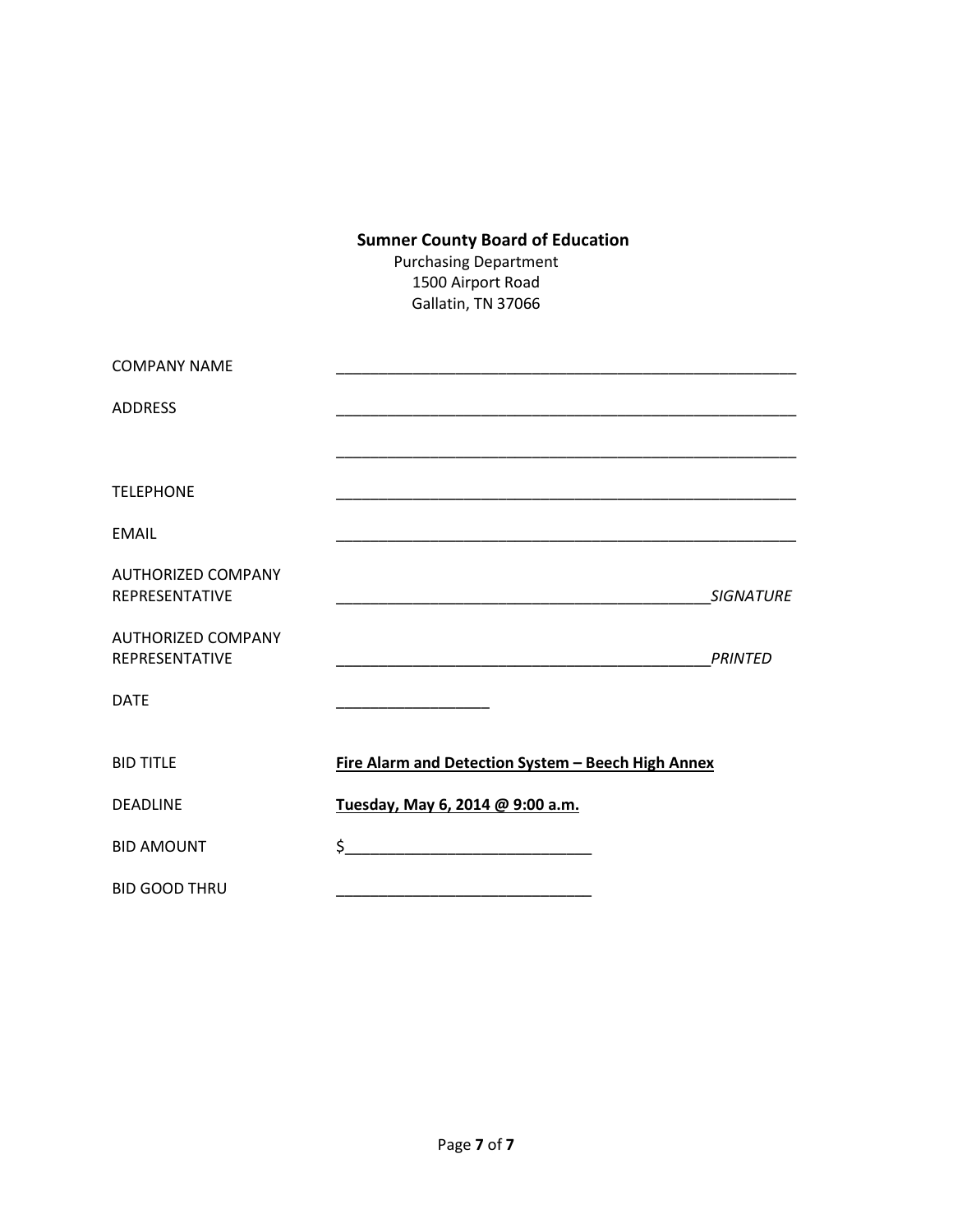# **Sumner County Board of Education**

Purchasing Department 1500 Airport Road Gallatin, TN 37066

| <b>COMPANY NAME</b>                                |                                                                                                                                                                                                                                                                                                                                                                     |                |
|----------------------------------------------------|---------------------------------------------------------------------------------------------------------------------------------------------------------------------------------------------------------------------------------------------------------------------------------------------------------------------------------------------------------------------|----------------|
| <b>ADDRESS</b>                                     |                                                                                                                                                                                                                                                                                                                                                                     |                |
|                                                    |                                                                                                                                                                                                                                                                                                                                                                     |                |
| <b>TELEPHONE</b>                                   |                                                                                                                                                                                                                                                                                                                                                                     |                |
| EMAIL                                              |                                                                                                                                                                                                                                                                                                                                                                     |                |
| <b>AUTHORIZED COMPANY</b><br><b>REPRESENTATIVE</b> |                                                                                                                                                                                                                                                                                                                                                                     | SIGNATURE      |
| <b>AUTHORIZED COMPANY</b><br><b>REPRESENTATIVE</b> |                                                                                                                                                                                                                                                                                                                                                                     | <b>PRINTED</b> |
| <b>DATE</b>                                        |                                                                                                                                                                                                                                                                                                                                                                     |                |
| <b>BID TITLF</b>                                   | Fire Alarm and Detection System - Beech High Annex                                                                                                                                                                                                                                                                                                                  |                |
| <b>DEADLINE</b>                                    | Tuesday, May 6, 2014 @ 9:00 a.m.                                                                                                                                                                                                                                                                                                                                    |                |
| <b>BID AMOUNT</b>                                  | $\begin{picture}(20,10) \put(0,0){\vector(1,0){100}} \put(15,0){\vector(1,0){100}} \put(15,0){\vector(1,0){100}} \put(15,0){\vector(1,0){100}} \put(15,0){\vector(1,0){100}} \put(15,0){\vector(1,0){100}} \put(15,0){\vector(1,0){100}} \put(15,0){\vector(1,0){100}} \put(15,0){\vector(1,0){100}} \put(15,0){\vector(1,0){100}} \put(15,0){\vector(1,0){100}} \$ |                |
| <b>BID GOOD THRU</b>                               |                                                                                                                                                                                                                                                                                                                                                                     |                |